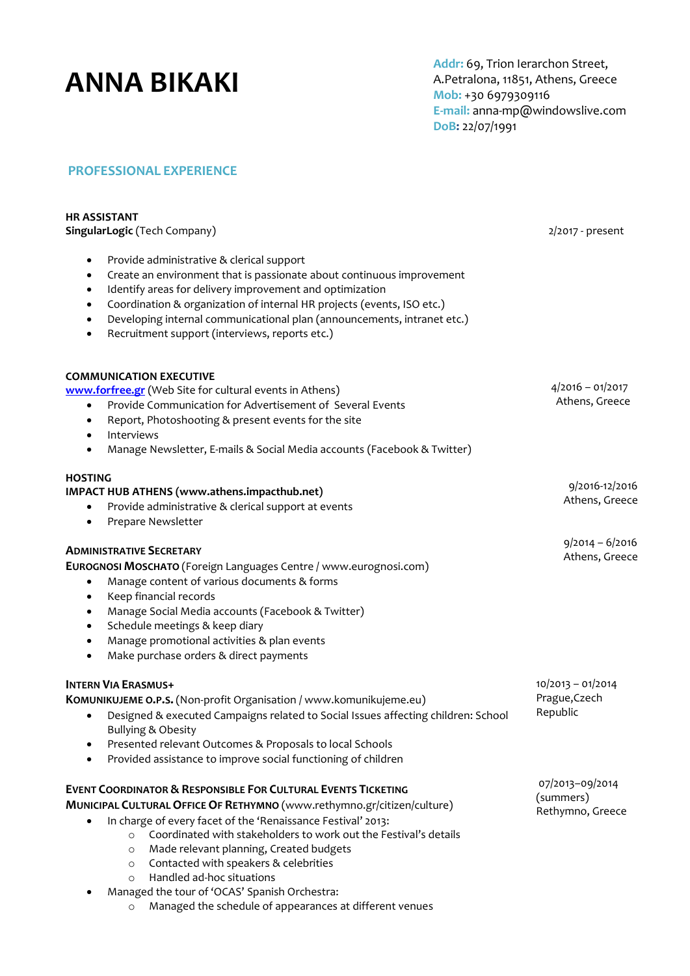# **ANNA BIKAKI**

**Addr:** 69, Trion Ierarchon Street, A.Petralona, 11851, Athens, Greece **Mob:** +30 6979309116 **E-mail:** anna-mp@windowslive.com **DoB:** 22/07/1991

## **PROFESSIONAL EXPERIENCE**

# **HR ASSISTANT**

**SingularLogic** (Tech Company)

2/2017 - present

- Provide administrative & clerical support
- Create an environment that is passionate about continuous improvement
- Identify areas for delivery improvement and optimization
- Coordination & organization of internal HR projects (events, ISO etc.)
- Developing internal communicational plan (announcements, intranet etc.)
- Recruitment support (interviews, reports etc.)

| <b>COMMUNICATION EXECUTIVE</b><br>www.forfree.gr (Web Site for cultural events in Athens)<br>Provide Communication for Advertisement of Several Events<br>$\bullet$<br>Report, Photoshooting & present events for the site<br>$\bullet$<br><b>Interviews</b><br>$\bullet$<br>Manage Newsletter, E-mails & Social Media accounts (Facebook & Twitter)<br>$\bullet$                                                                           | $4/2016 - 01/2017$<br>Athens, Greece             |
|---------------------------------------------------------------------------------------------------------------------------------------------------------------------------------------------------------------------------------------------------------------------------------------------------------------------------------------------------------------------------------------------------------------------------------------------|--------------------------------------------------|
| <b>HOSTING</b><br>IMPACT HUB ATHENS (www.athens.impacthub.net)<br>Provide administrative & clerical support at events<br>Prepare Newsletter<br>$\bullet$                                                                                                                                                                                                                                                                                    | 9/2016-12/2016<br>Athens, Greece                 |
| <b>ADMINISTRATIVE SECRETARY</b><br>EUROGNOSI MOSCHATO (Foreign Languages Centre / www.eurognosi.com)<br>Manage content of various documents & forms<br>$\bullet$<br>Keep financial records<br>$\bullet$<br>Manage Social Media accounts (Facebook & Twitter)<br>$\bullet$<br>Schedule meetings & keep diary<br>$\bullet$<br>Manage promotional activities & plan events<br>$\bullet$<br>Make purchase orders & direct payments<br>$\bullet$ | $9/2014 - 6/2016$<br>Athens, Greece              |
| <b>INTERN VIA ERASMUS+</b><br>KOMUNIKUJEME O.P.S. (Non-profit Organisation / www.komunikujeme.eu)<br>Designed & executed Campaigns related to Social Issues affecting children: School<br>$\bullet$<br>Bullying & Obesity<br>Presented relevant Outcomes & Proposals to local Schools<br>$\bullet$<br>Provided assistance to improve social functioning of children<br>$\bullet$                                                            | 10/2013 - 01/2014<br>Prague, Czech<br>Republic   |
| <b>EVENT COORDINATOR &amp; RESPONSIBLE FOR CULTURAL EVENTS TICKETING</b><br>MUNICIPAL CULTURAL OFFICE OF RETHYMNO (www.rethymno.gr/citizen/culture)<br>In charge of every facet of the 'Renaissance Festival' 2013:<br>Coordinated with stakeholders to work out the Festival's details<br>$\circ$                                                                                                                                          | 07/2013-09/2014<br>(summers)<br>Rethymno, Greece |

- o Made relevant planning, Created budgets
- o Contacted with speakers & celebrities
- o Handled ad-hoc situations
- Managed the tour of 'OCAS' Spanish Orchestra:
	- o Managed the schedule of appearances at different venues